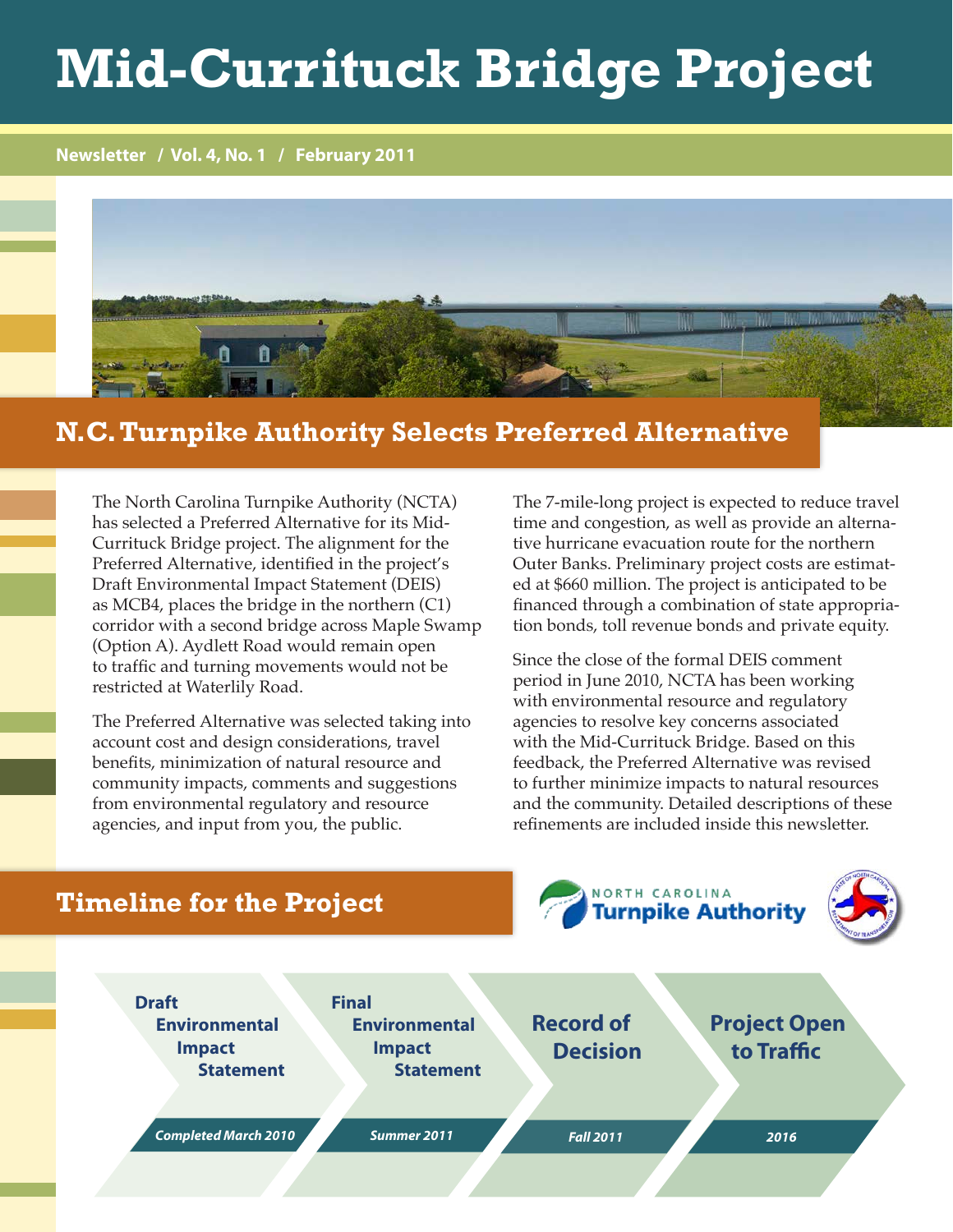# **Mid-Currituck Bridge Project**

**Newsletter / Vol. 4, No. 1 / February 2011**



#### **N.C. Turnpike Authority Selects Preferred Alternative**

The North Carolina Turnpike Authority (NCTA) has selected a Preferred Alternative for its Mid-Currituck Bridge project. The alignment for the Preferred Alternative, identified in the project's Draft Environmental Impact Statement (DEIS) as MCB4, places the bridge in the northern (C1) corridor with a second bridge across Maple Swamp (Option A). Aydlett Road would remain open to traffic and turning movements would not be restricted at Waterlily Road.

The Preferred Alternative was selected taking into account cost and design considerations, travel benefits, minimization of natural resource and community impacts, comments and suggestions from environmental regulatory and resource agencies, and input from you, the public.

The 7-mile-long project is expected to reduce travel time and congestion, as well as provide an alternative hurricane evacuation route for the northern Outer Banks. Preliminary project costs are estimated at \$660 million. The project is anticipated to be financed through a combination of state appropriation bonds, toll revenue bonds and private equity.

Since the close of the formal DEIS comment period in June 2010, NCTA has been working with environmental resource and regulatory agencies to resolve key concerns associated with the Mid-Currituck Bridge. Based on this feedback, the Preferred Alternative was revised to further minimize impacts to natural resources and the community. Detailed descriptions of these refinements are included inside this newsletter.

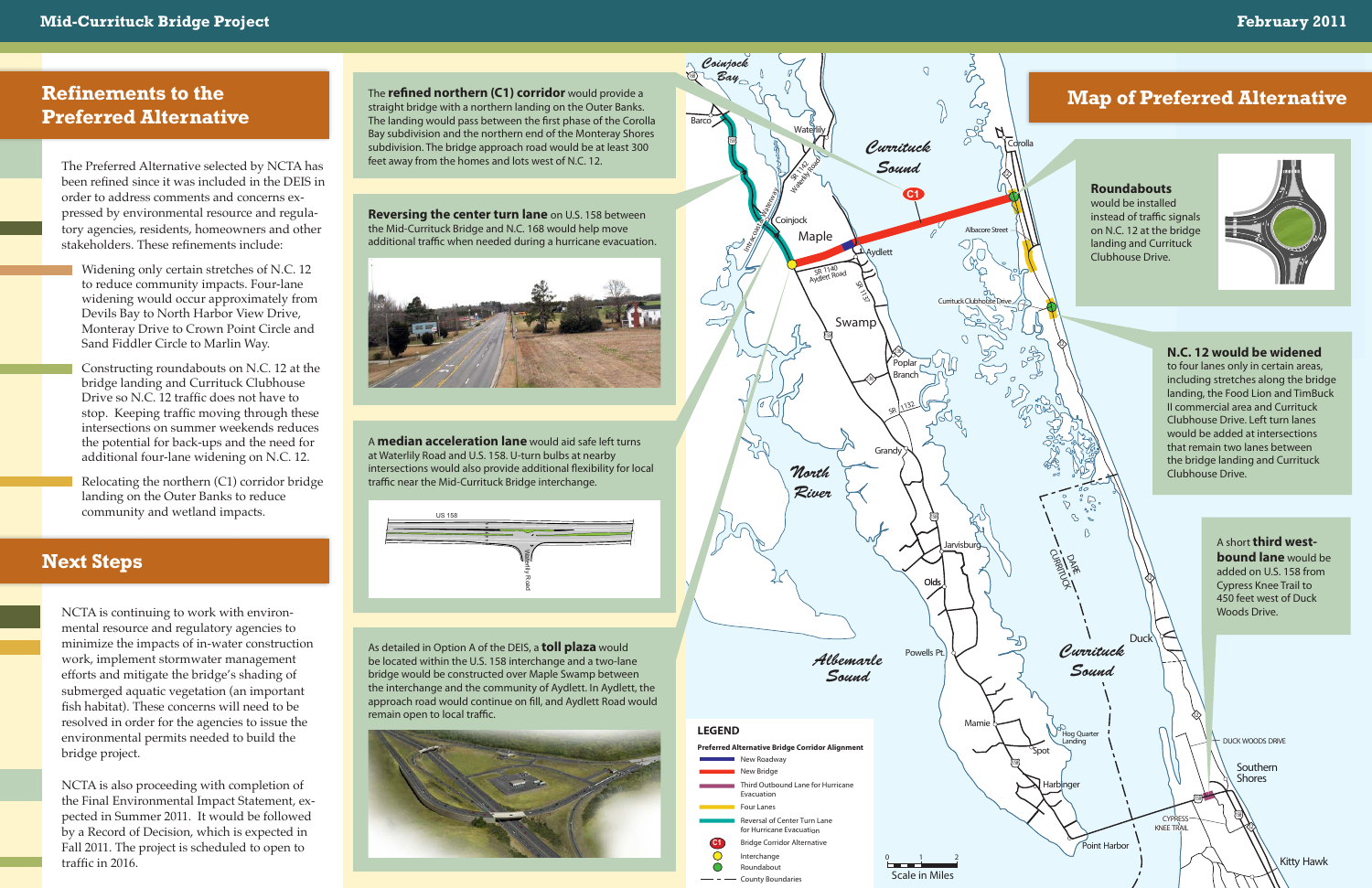*Currituck Sound*

<sup>O</sup>Hog Quarter Landing

Spot

D<br>PAR Curricle City

> **Southern Shores**

> > **Kitty Hawk**

Point Harbor

Harbinger

**Duck**

12

158 12

12

12

158

DUCK WOODS DRIVE



CYPRESS KNEE TRAIL

NCTA is continuing to work with environmental resource and regulatory agencies to minimize the impacts of in-water construction work, implement stormwater management efforts and mitigate the bridge's shading of submerged aquatic vegetation (an important fish habitat). These concerns will need to be resolved in order for the agencies to issue the environmental permits needed to build the bridge project.

NCTA is also proceeding with completion of the Final Environmental Impact Statement, expected in Summer 2011. It would be followed by a Record of Decision, which is expected in Fall 2011. The project is scheduled to open to traffic in 2016.

The Preferred Alternative selected by NCTA has been refined since it was included in the DEIS in order to address comments and concerns expressed by environmental resource and regulatory agencies, residents, homeowners and other stakeholders. These refinements include:

Widening only certain stretches of N.C. 12 to reduce community impacts. Four-lane widening would occur approximately from Devils Bay to North Harbor View Drive, Monteray Drive to Crown Point Circle and Sand Fiddler Circle to Marlin Way.

### *Atlantic*  **N.C. 12 would be widened**

to four faries only in certain areas,<br>including stretches along the bridge to four lanes only in certain areas, landing, the Food Lion and TimBuck II commercial area and Currituck Clubhouse Drive. Left turn lanes would be added at intersections that remain two lanes between the bridge landing and Currituck Clubhouse Drive.

Constructing roundabouts on N.C. 12 at the bridge landing and Currituck Clubhouse Drive so N.C. 12 traffic does not have to stop. Keeping traffic moving through these intersections on summer weekends reduces the potential for back-ups and the need for additional four-lane widening on N.C. 12.

Relocating the northern (C1) corridor bridge landing on the Outer Banks to reduce community and wetland impacts.

#### **Next Steps**

The **refined northern (C1) corridor** would provide a straight bridge with a northern landing on the Outer Banks. The landing would pass between the first phase of the Corolla Bay subdivision and the northern end of the Monteray Shores subdivision. The bridge approach road would be at least 300 feet away from the homes and lots west of N.C. 12.

**Reversing the center turn lane** on U.S. 158 between the Mid-Currituck Bridge and N.C. 168 would help move additional traffic when needed during a hurricane evacuation.



A **median acceleration lane** would aid safe left turns at Waterlily Road and U.S. 158. U-turn bulbs at nearby intersections would also provide additional flexibility for local traffic near the Mid-Currituck Bridge interchange.

As detailed in Option A of the DEIS, a **toll plaza** would be located within the U.S. 158 interchange and a two-lane bridge would be constructed over Maple Swamp between the interchange and the community of Aydlett. In Aydlett, the approach road would continue on fill, and Aydlett Road would remain open to local traffic.



#### **Roundabouts**

would be installed instead of traffic signals on N.C. 12 at the bridge landing and Currituck Clubhouse Drive.



A short **third westbound lane** would be added on U.S. 158 from Cypress Knee Trail to 450 feet west of Duck Woods Drive.

## **Refinements to the Preferred Alternative**

### **Map of Preferred Alternative**